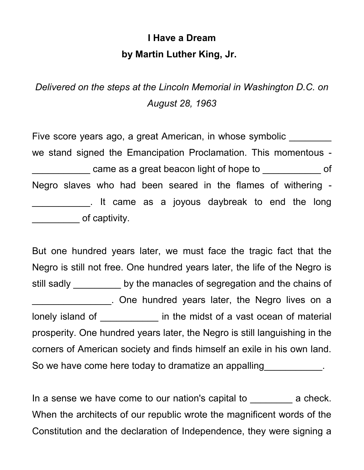## **I Have a Dream by Martin Luther King, Jr.**

*Delivered on the steps at the Lincoln Memorial in Washington D.C. on August 28, 1963*

Five score years ago, a great American, in whose symbolic we stand signed the Emancipation Proclamation. This momentous came as a great beacon light of hope to  $\Box$  of Negro slaves who had been seared in the flames of withering - \_\_\_\_\_\_\_\_\_\_\_. It came as a joyous daybreak to end the long \_\_\_\_\_\_\_\_\_ of captivity.

But one hundred years later, we must face the tragic fact that the Negro is still not free. One hundred years later, the life of the Negro is still sadly by the manacles of segregation and the chains of \_\_\_\_\_\_\_\_\_\_\_\_\_\_\_. One hundred years later, the Negro lives on a lonely island of **the midst of a vast ocean of material** prosperity. One hundred years later, the Negro is still languishing in the corners of American society and finds himself an exile in his own land. So we have come here today to dramatize an appalling states of the come here today to dramatize an appalling

In a sense we have come to our nation's capital to example a check. When the architects of our republic wrote the magnificent words of the Constitution and the declaration of Independence, they were signing a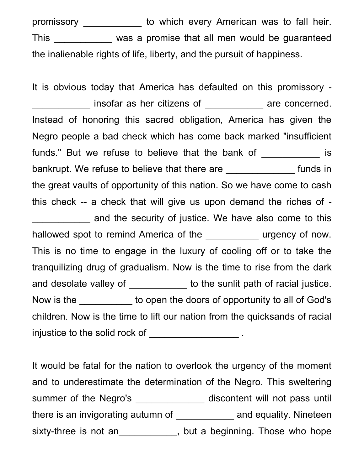promissory \_\_\_\_\_\_\_\_\_\_\_ to which every American was to fall heir. This \_\_\_\_\_\_\_\_\_\_\_ was a promise that all men would be guaranteed the inalienable rights of life, liberty, and the pursuit of happiness.

It is obvious today that America has defaulted on this promissory insofar as her citizens of The Same concerned. Instead of honoring this sacred obligation, America has given the Negro people a bad check which has come back marked "insufficient funds." But we refuse to believe that the bank of \_\_\_\_\_\_\_\_\_\_\_\_ is bankrupt. We refuse to believe that there are \_\_\_\_\_\_\_\_\_\_\_\_\_\_\_ funds in the great vaults of opportunity of this nation. So we have come to cash this check -- a check that will give us upon demand the riches of and the security of justice. We have also come to this hallowed spot to remind America of the The Turgency of now. This is no time to engage in the luxury of cooling off or to take the tranquilizing drug of gradualism. Now is the time to rise from the dark and desolate valley of \_\_\_\_\_\_\_\_\_\_\_\_ to the sunlit path of racial justice. Now is the to open the doors of opportunity to all of God's children. Now is the time to lift our nation from the quicksands of racial injustice to the solid rock of  $\blacksquare$ 

It would be fatal for the nation to overlook the urgency of the moment and to underestimate the determination of the Negro. This sweltering summer of the Negro's \_\_\_\_\_\_\_\_\_\_\_\_\_\_\_ discontent will not pass until there is an invigorating autumn of \_\_\_\_\_\_\_\_\_\_\_\_\_\_ and equality. Nineteen sixty-three is not an\_\_\_\_\_\_\_\_\_\_\_, but a beginning. Those who hope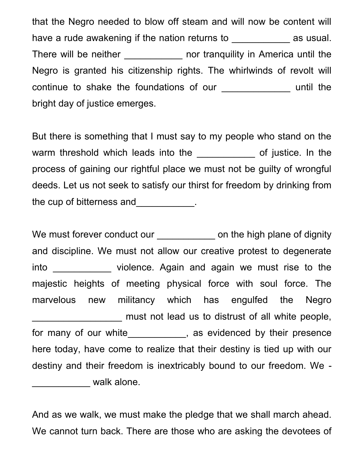that the Negro needed to blow off steam and will now be content will have a rude awakening if the nation returns to **way are usual** as usual. There will be neither \_\_\_\_\_\_\_\_\_\_\_\_ nor tranquility in America until the Negro is granted his citizenship rights. The whirlwinds of revolt will continue to shake the foundations of our \_\_\_\_\_\_\_\_\_\_\_\_\_ until the bright day of justice emerges.

But there is something that I must say to my people who stand on the warm threshold which leads into the the same of justice. In the process of gaining our rightful place we must not be guilty of wrongful deeds. Let us not seek to satisfy our thirst for freedom by drinking from the cup of bitterness and \_\_\_\_\_\_\_\_\_\_\_.

We must forever conduct our example on the high plane of dignity and discipline. We must not allow our creative protest to degenerate into **was allocated violence.** Again and again we must rise to the majestic heights of meeting physical force with soul force. The marvelous new militancy which has engulfed the Negro must not lead us to distrust of all white people, for many of our white\_\_\_\_\_\_\_\_\_\_\_, as evidenced by their presence here today, have come to realize that their destiny is tied up with our destiny and their freedom is inextricably bound to our freedom. We - **\_\_\_\_\_\_\_\_\_\_\_** walk alone.

And as we walk, we must make the pledge that we shall march ahead. We cannot turn back. There are those who are asking the devotees of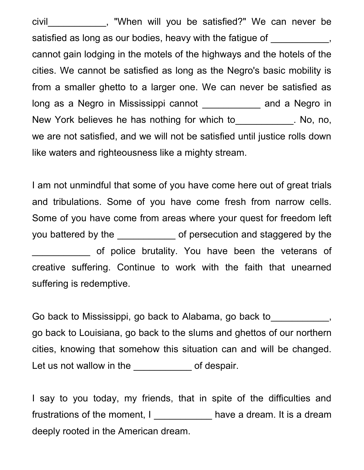civil\_\_\_\_\_\_\_\_\_\_\_, "When will you be satisfied?" We can never be satisfied as long as our bodies, heavy with the fatigue of \_\_\_\_\_\_\_\_\_\_, cannot gain lodging in the motels of the highways and the hotels of the cities. We cannot be satisfied as long as the Negro's basic mobility is from a smaller ghetto to a larger one. We can never be satisfied as long as a Negro in Mississippi cannot \_\_\_\_\_\_\_\_\_\_\_\_ and a Negro in New York believes he has nothing for which to Theorem 2016, no, no, we are not satisfied, and we will not be satisfied until justice rolls down like waters and righteousness like a mighty stream.

I am not unmindful that some of you have come here out of great trials and tribulations. Some of you have come fresh from narrow cells. Some of you have come from areas where your quest for freedom left you battered by the \_\_\_\_\_\_\_\_\_\_\_\_\_ of persecution and staggered by the of police brutality. You have been the veterans of creative suffering. Continue to work with the faith that unearned suffering is redemptive.

Go back to Mississippi, go back to Alabama, go back to  $\qquad \qquad$ , go back to Louisiana, go back to the slums and ghettos of our northern cities, knowing that somehow this situation can and will be changed. Let us not wallow in the \_\_\_\_\_\_\_\_\_\_\_\_\_ of despair.

I say to you today, my friends, that in spite of the difficulties and frustrations of the moment, I can be have a dream. It is a dream deeply rooted in the American dream.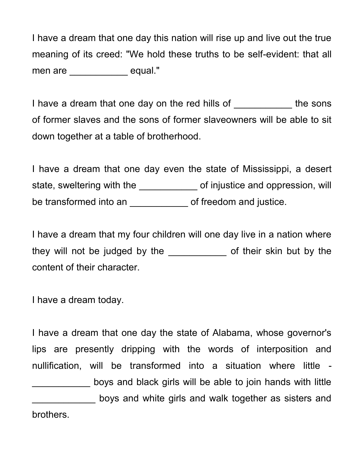I have a dream that one day this nation will rise up and live out the true meaning of its creed: "We hold these truths to be self-evident: that all men are equal."

I have a dream that one day on the red hills of \_\_\_\_\_\_\_\_\_\_\_\_ the sons of former slaves and the sons of former slaveowners will be able to sit down together at a table of brotherhood.

I have a dream that one day even the state of Mississippi, a desert state, sweltering with the \_\_\_\_\_\_\_\_\_\_\_\_\_ of injustice and oppression, will be transformed into an **wite all all examples** of freedom and justice.

I have a dream that my four children will one day live in a nation where they will not be judged by the \_\_\_\_\_\_\_\_\_\_\_\_\_ of their skin but by the content of their character.

I have a dream today.

I have a dream that one day the state of Alabama, whose governor's lips are presently dripping with the words of interposition and nullification, will be transformed into a situation where little - \_\_\_\_\_\_\_\_\_\_\_ boys and black girls will be able to join hands with little boys and white girls and walk together as sisters and brothers.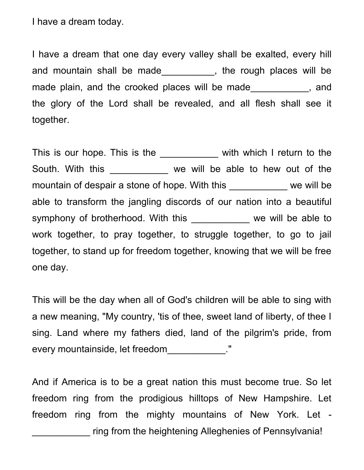I have a dream today.

I have a dream that one day every valley shall be exalted, every hill and mountain shall be made\_\_\_\_\_\_\_\_\_\_, the rough places will be made plain, and the crooked places will be made Theorem and the glory of the Lord shall be revealed, and all flesh shall see it together.

This is our hope. This is the the with which I return to the South. With this \_\_\_\_\_\_\_\_\_\_\_\_ we will be able to hew out of the mountain of despair a stone of hope. With this \_\_\_\_\_\_\_\_\_\_\_ we will be able to transform the jangling discords of our nation into a beautiful symphony of brotherhood. With this \_\_\_\_\_\_\_\_\_\_\_ we will be able to work together, to pray together, to struggle together, to go to jail together, to stand up for freedom together, knowing that we will be free one day.

This will be the day when all of God's children will be able to sing with a new meaning, "My country, 'tis of thee, sweet land of liberty, of thee I sing. Land where my fathers died, land of the pilgrim's pride, from every mountainside, let freedom\_\_\_\_\_\_\_\_\_\_\_\_."

And if America is to be a great nation this must become true. So let freedom ring from the prodigious hilltops of New Hampshire. Let freedom ring from the mighty mountains of New York. Let ring from the heightening Alleghenies of Pennsylvania!